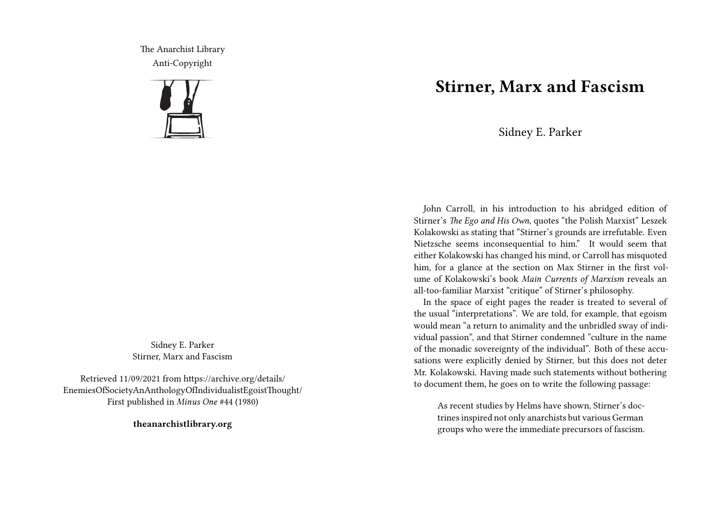The Anarchist Library Anti-Copyright



Sidney E. Parker Stirner, Marx and Fascism

Retrieved 11/09/2021 from https://archive.org/details/ EnemiesOfSocietyAnAnthologyOfIndividualistEgoistThought/ First published in *Minus One* #44 (1980)

**theanarchistlibrary.org**

## **Stirner, Marx and Fascism**

Sidney E. Parker

John Carroll, in his introduction to his abridged edition of Stirner's *The Ego and His Own*, quotes "the Polish Marxist" Leszek Kolakowski as stating that "Stirner's grounds are irrefutable. Even Nietzsche seems inconsequential to him." It would seem that either Kolakowski has changed his mind, or Carroll has misquoted him, for a glance at the section on Max Stirner in the first volume of Kolakowski's book *Main Currents of Marxism* reveals an all-too-familiar Marxist "critique" of Stirner's philosophy.

In the space of eight pages the reader is treated to several of the usual "interpretations". We are told, for example, that egoism would mean "a return to animality and the unbridled sway of individual passion", and that Stirner condemned "culture in the name of the monadic sovereignty of the individual". Both of these accusations were explicitly denied by Stirner, but this does not deter Mr. Kolakowski. Having made such statements without bothering to document them, he goes on to write the following passage:

As recent studies by Helms have shown, Stirner's doctrines inspired not only anarchists but various German groups who were the immediate precursors of fascism.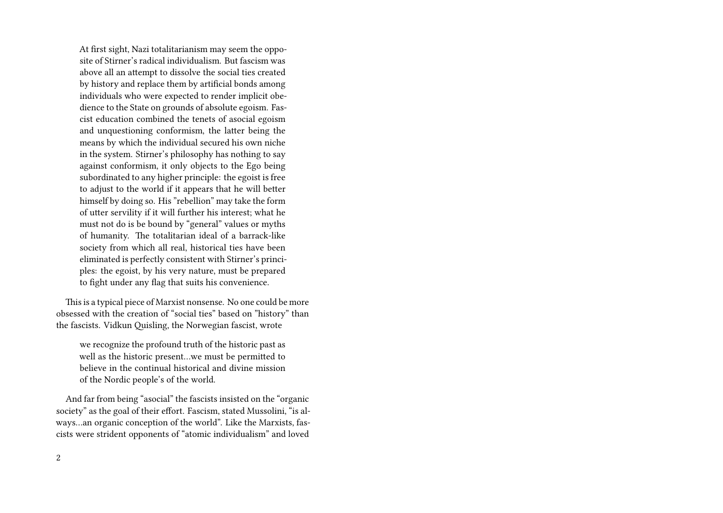At first sight, Nazi totalitarianism may seem the opposite of Stirner's radical individualism. But fascism was above all an attempt to dissolve the social ties created by history and replace them by artificial bonds among individuals who were expected to render implicit obedience to the State on grounds of absolute egoism. Fascist education combined the tenets of asocial egoism and unquestioning conformism, the latter being the means by which the individual secured his own niche in the system. Stirner's philosophy has nothing to say against conformism, it only objects to the Ego being subordinated to any higher principle: the egoist is free to adjust to the world if it appears that he will better himself by doing so. His "rebellion" may take the form of utter servility if it will further his interest; what he must not do is be bound by "general" values or myths of humanity. The totalitarian ideal of a barrack-like society from which all real, historical ties have been eliminated is perfectly consistent with Stirner's principles: the egoist, by his very nature, must be prepared to fight under any flag that suits his convenience.

This is a typical piece of Marxist nonsense. No one could be more obsessed with the creation of "social ties" based on "history" than the fascists. Vidkun Quisling, the Norwegian fascist, wrote

we recognize the profound truth of the historic past as well as the historic present…we must be permitted to believe in the continual historical and divine mission of the Nordic people's of the world.

And far from being "asocial" the fascists insisted on the "organic society" as the goal of their effort. Fascism, stated Mussolini, "is always…an organic conception of the world". Like the Marxists, fascists were strident opponents of "atomic individualism" and loved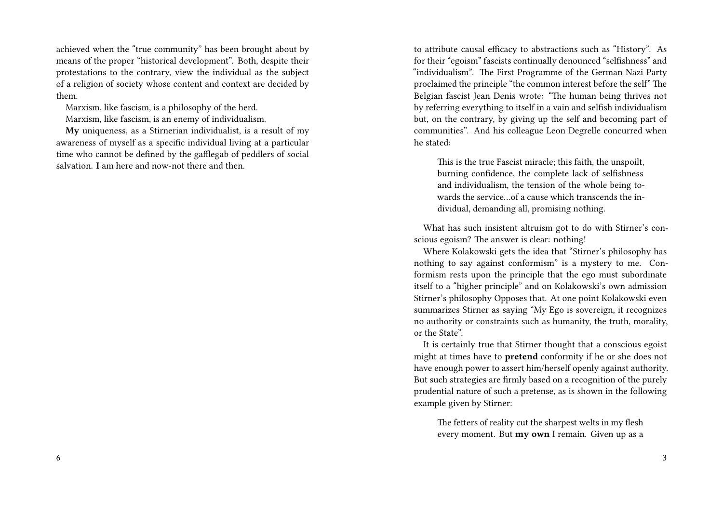achieved when the "true community" has been brought about by means of the proper "historical development". Both, despite their protestations to the contrary, view the individual as the subject of a religion of society whose content and context are decided by them.

Marxism, like fascism, is a philosophy of the herd.

Marxism, like fascism, is an enemy of individualism.

**My** uniqueness, as a Stirnerian individualist, is a result of my awareness of myself as a specific individual living at a particular time who cannot be defined by the gafflegab of peddlers of social salvation. **I** am here and now-not there and then.

to attribute causal efficacy to abstractions such as "History". As for their "egoism" fascists continually denounced "selfishness" and "individualism". The First Programme of the German Nazi Party proclaimed the principle "the common interest before the self" The Belgian fascist Jean Denis wrote: "The human being thrives not by referring everything to itself in a vain and selfish individualism but, on the contrary, by giving up the self and becoming part of communities". And his colleague Leon Degrelle concurred when he stated:

This is the true Fascist miracle; this faith, the unspoilt, burning confidence, the complete lack of selfishness and individualism, the tension of the whole being towards the service…of a cause which transcends the individual, demanding all, promising nothing.

What has such insistent altruism got to do with Stirner's conscious egoism? The answer is clear: nothing!

Where Kolakowski gets the idea that "Stirner's philosophy has nothing to say against conformism" is a mystery to me. Conformism rests upon the principle that the ego must subordinate itself to a "higher principle" and on Kolakowski's own admission Stirner's philosophy Opposes that. At one point Kolakowski even summarizes Stirner as saying "My Ego is sovereign, it recognizes no authority or constraints such as humanity, the truth, morality, or the State".

It is certainly true that Stirner thought that a conscious egoist might at times have to **pretend** conformity if he or she does not have enough power to assert him/herself openly against authority. But such strategies are firmly based on a recognition of the purely prudential nature of such a pretense, as is shown in the following example given by Stirner:

The fetters of reality cut the sharpest welts in my flesh every moment. But **my own** I remain. Given up as a